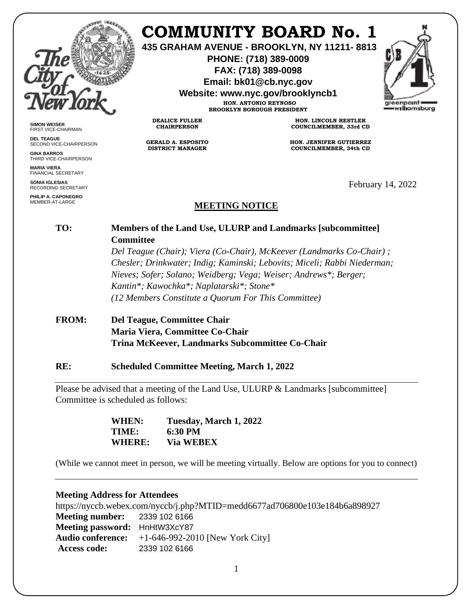

**SIMON WEISER** FIRST VICE-CHAIRMAN **DEL TEAGUE**

**GINA BARROS** THIRD VICE-CHAIRPERSON

**MARIA VIERA** FINANCIAL SECRETARY **SONIA IGLESIAS** RECORDING SECRETARY **PHILIP A. CAPONEGRO** MEMBER-AT-LARGE

SECOND VICE-CHAIRPERSON

# **COMMUNITY BOARD No. 1**

**435 GRAHAM AVENUE - BROOKLYN, NY 11211- 8813**

**PHONE: (718) 389-0009 FAX: (718) 389-0098**

**Email: bk01@cb.nyc.gov**

**Website: www.nyc.gov/brooklyncb1**

**HON. ANTONIO REYNOSO BROOKLYN BOROUGH PRESIDENT**

**DEALICE FULLER CHAIRPERSON**

**GERALD A. ESPOSITO DISTRICT MANAGER**

**HON. LINCOLN RESTLER COUNCILMEMBER, 33rd CD**

**HON. JENNIFER GUTIERREZ COUNCILMEMBER, 34th CD**

February 14, 2022

## **MEETING NOTICE**

### **TO: Members of the Land Use, ULURP and Landmarks [subcommittee] Committee**

*Del Teague (Chair); Viera (Co-Chair), McKeever (Landmarks Co-Chair) ; Chesler; Drinkwater; Indig; Kaminski; Lebovits; Miceli; Rabbi Niederman; Nieves; Sofer; Solano; Weidberg; Vega; Weiser; Andrews\*; Berger; Kantin\*; Kawochka\*; Naplatarski\*; Stone\* (12 Members Constitute a Quorum For This Committee)*

## **FROM: Del Teague, Committee Chair Maria Viera, Committee Co-Chair Trina McKeever, Landmarks Subcommittee Co-Chair**

#### **RE: Scheduled Committee Meeting, March 1, 2022**

Please be advised that a meeting of the Land Use, ULURP & Landmarks [subcommittee] Committee is scheduled as follows:

> **WHEN: Tuesday, March 1, 2022 TIME: 6:30 PM WHERE: Via WEBEX**

(While we cannot meet in person, we will be meeting virtually. Below are options for you to connect)

#### **Meeting Address for Attendees**

https://nyccb.webex.com/nyccb/j.php?MTID=medd6677ad706800e103e184b6a898927 **Meeting number:** 2339 102 6166 **Meeting password:** HnHtW3XcY87 **Audio conference:** +1-646-992-2010 [New York City] **Access code:** 2339 102 6166